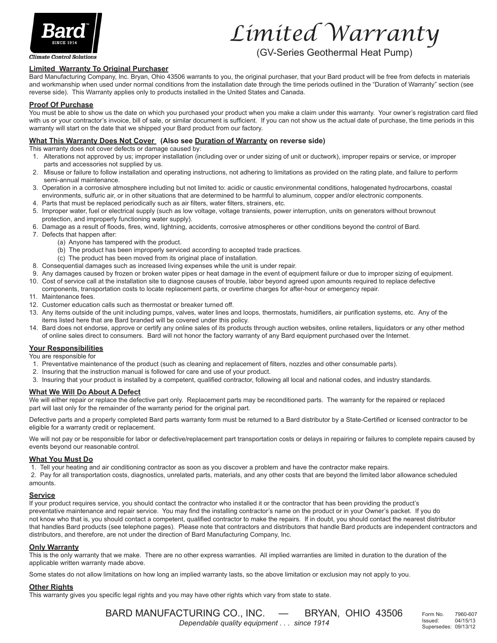

**Climate Control Solutions** 

# *Limited Warranty*

(GV-Series Geothermal Heat Pump)

### **Limited Warranty To Original Purchaser**

Bard Manufacturing Company, Inc. Bryan, Ohio 43506 warrants to you, the original purchaser, that your Bard product will be free from defects in materials and workmanship when used under normal conditions from the installation date through the time periods outlined in the "Duration of Warranty" section (see reverse side). This Warranty applies only to products installed in the United States and Canada.

#### **Proof Of Purchase**

You must be able to show us the date on which you purchased your product when you make a claim under this warranty. Your owner's registration card filed with us or your contractor's invoice, bill of sale, or similar document is sufficient. If you can not show us the actual date of purchase, the time periods in this warranty will start on the date that we shipped your Bard product from our factory.

### **What This Warranty Does Not Cover (Also see Duration of Warranty on reverse side)**

This warranty does not cover defects or damage caused by:

- 1. Alterations not approved by us; improper installation (including over or under sizing of unit or ductwork), improper repairs or service, or improper parts and accessories not supplied by us.
- 2. Misuse or failure to follow installation and operating instructions, not adhering to limitations as provided on the rating plate, and failure to perform semi-annual maintenance.
- 3. Operation in a corrosive atmosphere including but not limited to: acidic or caustic environmental conditions, halogenated hydrocarbons, coastal environments, sulfuric air, or in other situations that are determined to be harmful to aluminum, copper and/or electronic components.
- 4. Parts that must be replaced periodically such as air filters, water filters, strainers, etc.
- 5. Improper water, fuel or electrical supply (such as low voltage, voltage transients, power interruption, units on generators without brownout protection, and improperly functioning water supply).
- 6. Damage as a result of floods, fires, wind, lightning, accidents, corrosive atmospheres or other conditions beyond the control of Bard.
- 7. Defects that happen after:
	- (a) Anyone has tampered with the product.
	- (b) The product has been improperly serviced according to accepted trade practices.
	- (c) The product has been moved from its original place of installation.
- 8. Consequential damages such as increased living expenses while the unit is under repair.
- 9. Any damages caused by frozen or broken water pipes or heat damage in the event of equipment failure or due to improper sizing of equipment.
- 10. Cost of service call at the installation site to diagnose causes of trouble, labor beyond agreed upon amounts required to replace defective components, transportation costs to locate replacement parts, or overtime charges for after-hour or emergency repair.
- 11. Maintenance fees.
- 12. Customer education calls such as thermostat or breaker turned off.
- 13. Any items outside of the unit including pumps, valves, water lines and loops, thermostats, humidifiers, air purification systems, etc. Any of the items listed here that are Bard branded will be covered under this policy.
- 14. Bard does not endorse, approve or certify any online sales of its products through auction websites, online retailers, liquidators or any other method of online sales direct to consumers. Bard will not honor the factory warranty of any Bard equipment purchased over the Internet.

# **Your Responsibilities**

You are responsible for

- 1. Preventative maintenance of the product (such as cleaning and replacement of filters, nozzles and other consumable parts).
- 2. Insuring that the instruction manual is followed for care and use of your product.
- 3. Insuring that your product is installed by a competent, qualified contractor, following all local and national codes, and industry standards.

### **What We Will Do About A Defect**

We will either repair or replace the defective part only. Replacement parts may be reconditioned parts. The warranty for the repaired or replaced part will last only for the remainder of the warranty period for the original part.

Defective parts and a properly completed Bard parts warranty form must be returned to a Bard distributor by a State-Certified or licensed contractor to be eligible for a warranty credit or replacement.

We will not pay or be responsible for labor or defective/replacement part transportation costs or delays in repairing or failures to complete repairs caused by events beyond our reasonable control.

### **What You Must Do**

1. Tell your heating and air conditioning contractor as soon as you discover a problem and have the contractor make repairs.

 2. Pay for all transportation costs, diagnostics, unrelated parts, materials, and any other costs that are beyond the limited labor allowance scheduled amounts.

### **Service**

If your product requires service, you should contact the contractor who installed it or the contractor that has been providing the product's preventative maintenance and repair service. You may find the installing contractor's name on the product or in your Owner's packet. If you do not know who that is, you should contact a competent, qualified contractor to make the repairs. If in doubt, you should contact the nearest distributor that handles Bard products (see telephone pages). Please note that contractors and distributors that handle Bard products are independent contractors and distributors, and therefore, are not under the direction of Bard Manufacturing Company, Inc.

#### **Only Warranty**

This is the only warranty that we make. There are no other express warranties. All implied warranties are limited in duration to the duration of the applicable written warranty made above.

Some states do not allow limitations on how long an implied warranty lasts, so the above limitation or exclusion may not apply to you.

# **Other Rights**

This warranty gives you specific legal rights and you may have other rights which vary from state to state.

BARD MANUFACTURING CO., INC. — BRYAN, OHIO 43506 *Dependable quality equipment . . . since 1914*